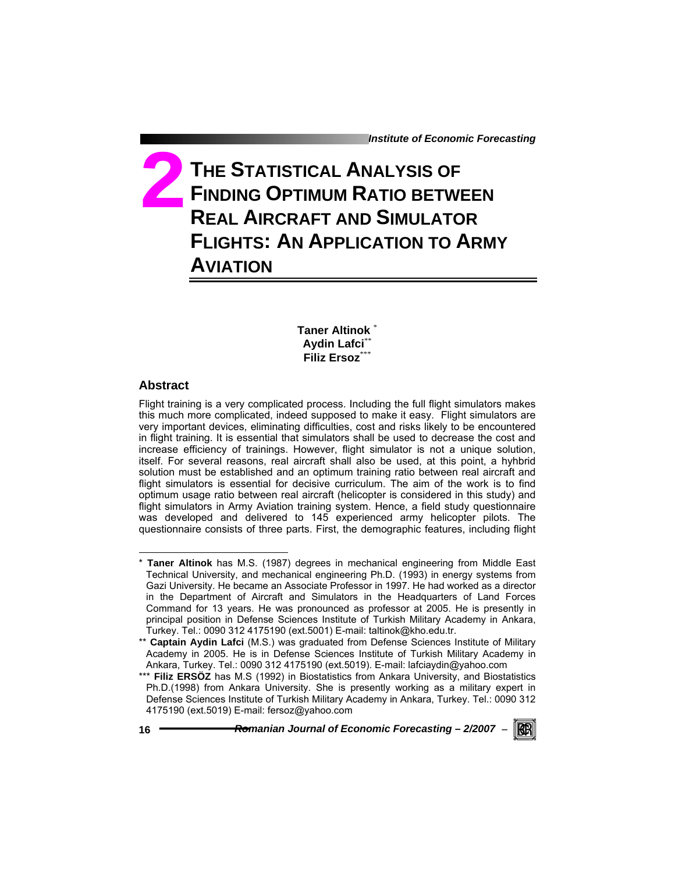# **THE STATISTICAL ANALYSIS OF FINDING OPTIMUM RATIO BETWEEN REAL AIRCRAFT AND SIMULATOR FLIGHTS: AN APPLICATION TO ARMY AVIATION 2**

**Taner Altinok** \* **Aydin Lafci**\*\* **Filiz Ersoz**\*\*\*

# **Abstract**

Flight training is a very complicated process. Including the full flight simulators makes this much more complicated, indeed supposed to make it easy. Flight simulators are very important devices, eliminating difficulties, cost and risks likely to be encountered in flight training. It is essential that simulators shall be used to decrease the cost and increase efficiency of trainings. However, flight simulator is not a unique solution, itself. For several reasons, real aircraft shall also be used, at this point, a hyhbrid solution must be established and an optimum training ratio between real aircraft and flight simulators is essential for decisive curriculum. The aim of the work is to find optimum usage ratio between real aircraft (helicopter is considered in this study) and flight simulators in Army Aviation training system. Hence, a field study questionnaire was developed and delivered to 145 experienced army helicopter pilots. The questionnaire consists of three parts. First, the demographic features, including flight

 $\overline{a}$ 



<sup>\*</sup> **Taner Altinok** has M.S. (1987) degrees in mechanical engineering from Middle East Technical University, and mechanical engineering Ph.D. (1993) in energy systems from Gazi University. He became an Associate Professor in 1997. He had worked as a director in the Department of Aircraft and Simulators in the Headquarters of Land Forces Command for 13 years. He was pronounced as professor at 2005. He is presently in principal position in Defense Sciences Institute of Turkish Military Academy in Ankara, Turkey. Tel.: 0090 312 4175190 (ext.5001) E-mail: taltinok@kho.edu.tr.

<sup>\*\*</sup> Captain Aydin Lafci (M.S.) was graduated from Defense Sciences Institute of Military Academy in 2005. He is in Defense Sciences Institute of Turkish Military Academy in Ankara, Turkey. Tel.: 0090 312 4175190 (ext.5019). E-mail: lafciaydin@yahoo.com

<sup>\*\*\*</sup> **Filiz ERSÖZ** has M.S (1992) in Biostatistics from Ankara University, and Biostatistics Ph.D.(1998) from Ankara University. She is presently working as a military expert in Defense Sciences Institute of Turkish Military Academy in Ankara, Turkey. Tel.: 0090 312 4175190 (ext.5019) E-mail: fersoz@yahoo.com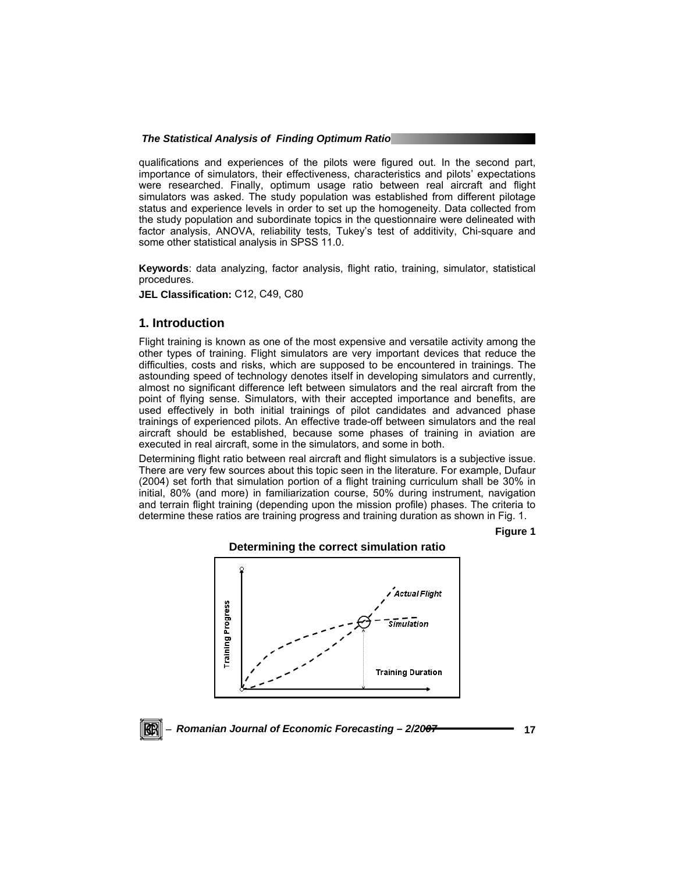qualifications and experiences of the pilots were figured out. In the second part, importance of simulators, their effectiveness, characteristics and pilots' expectations were researched. Finally, optimum usage ratio between real aircraft and flight simulators was asked. The study population was established from different pilotage status and experience levels in order to set up the homogeneity. Data collected from the study population and subordinate topics in the questionnaire were delineated with factor analysis, ANOVA, reliability tests, Tukey's test of additivity, Chi-square and some other statistical analysis in SPSS 11.0.

**Keywords**: data analyzing, factor analysis, flight ratio, training, simulator, statistical procedures.

**JEL Classification:** C12, C49, C80

# **1. Introduction**

Flight training is known as one of the most expensive and versatile activity among the other types of training. Flight simulators are very important devices that reduce the difficulties, costs and risks, which are supposed to be encountered in trainings. The astounding speed of technology denotes itself in developing simulators and currently, almost no significant difference left between simulators and the real aircraft from the point of flying sense. Simulators, with their accepted importance and benefits, are used effectively in both initial trainings of pilot candidates and advanced phase trainings of experienced pilots. An effective trade-off between simulators and the real aircraft should be established, because some phases of training in aviation are executed in real aircraft, some in the simulators, and some in both.

Determining flight ratio between real aircraft and flight simulators is a subjective issue. There are very few sources about this topic seen in the literature. For example, Dufaur (2004) set forth that simulation portion of a flight training curriculum shall be 30% in initial, 80% (and more) in familiarization course, 50% during instrument, navigation and terrain flight training (depending upon the mission profile) phases. The criteria to determine these ratios are training progress and training duration as shown in Fig. 1.

**Figure 1** 



# **Determining the correct simulation ratio**

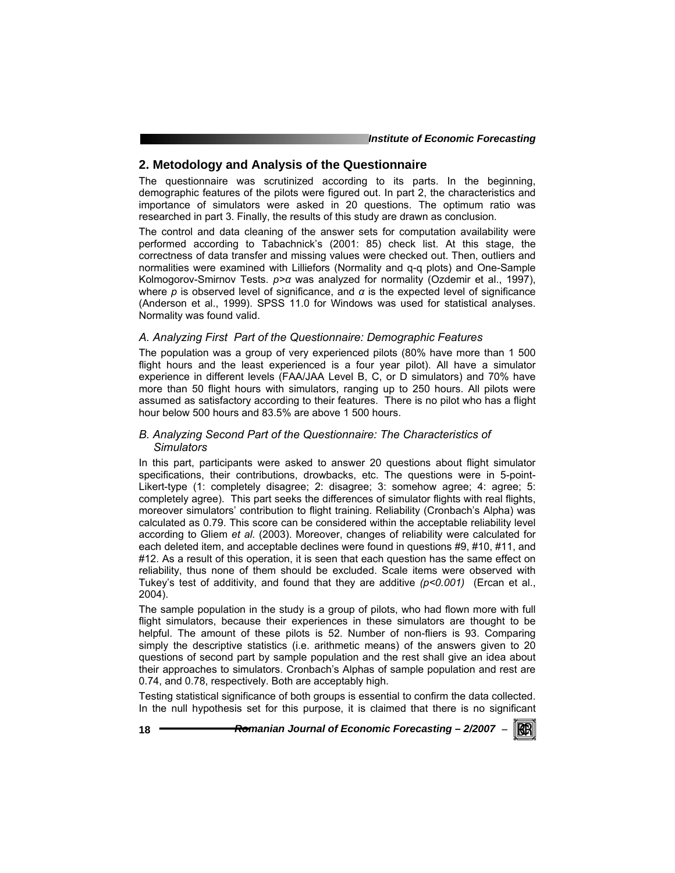# **2. Metodology and Analysis of the Questionnaire**

The questionnaire was scrutinized according to its parts. In the beginning, demographic features of the pilots were figured out. In part 2, the characteristics and importance of simulators were asked in 20 questions. The optimum ratio was researched in part 3. Finally, the results of this study are drawn as conclusion.

The control and data cleaning of the answer sets for computation availability were performed according to Tabachnick's (2001: 85) check list. At this stage, the correctness of data transfer and missing values were checked out. Then, outliers and normalities were examined with Lilliefors (Normality and q-q plots) and One-Sample Kolmogorov-Smirnov Tests. *p>α* was analyzed for normality (Ozdemir et al., 1997), where *p* is observed level of significance, and *α* is the expected level of significance (Anderson et al., 1999). SPSS 11.0 for Windows was used for statistical analyses. Normality was found valid.

## *A. Analyzing First Part of the Questionnaire: Demographic Features*

The population was a group of very experienced pilots (80% have more than 1 500 flight hours and the least experienced is a four year pilot). All have a simulator experience in different levels (FAA/JAA Level B, C, or D simulators) and 70% have more than 50 flight hours with simulators, ranging up to 250 hours. All pilots were assumed as satisfactory according to their features. There is no pilot who has a flight hour below 500 hours and 83.5% are above 1 500 hours.

# *B. Analyzing Second Part of the Questionnaire: The Characteristics of Simulators*

In this part, participants were asked to answer 20 questions about flight simulator specifications, their contributions, drowbacks, etc. The questions were in 5-point-Likert-type (1: completely disagree; 2: disagree; 3: somehow agree; 4: agree; 5: completely agree). This part seeks the differences of simulator flights with real flights, moreover simulators' contribution to flight training. Reliability (Cronbach's Alpha) was calculated as 0.79. This score can be considered within the acceptable reliability level according to Gliem *et al*. (2003). Moreover, changes of reliability were calculated for each deleted item, and acceptable declines were found in questions #9, #10, #11, and #12. As a result of this operation, it is seen that each question has the same effect on reliability, thus none of them should be excluded. Scale items were observed with Tukey's test of additivity, and found that they are additive *(p<0.001)* (Ercan et al., 2004).

The sample population in the study is a group of pilots, who had flown more with full flight simulators, because their experiences in these simulators are thought to be helpful. The amount of these pilots is 52. Number of non-fliers is 93. Comparing simply the descriptive statistics (i.e. arithmetic means) of the answers given to 20 questions of second part by sample population and the rest shall give an idea about their approaches to simulators. Cronbach's Alphas of sample population and rest are 0.74, and 0.78, respectively. Both are acceptably high.

Testing statistical significance of both groups is essential to confirm the data collected. In the null hypothesis set for this purpose, it is claimed that there is no significant

**18** *Romanian Journal of Economic Forecasting – 2/2007* <sup>−</sup>

RER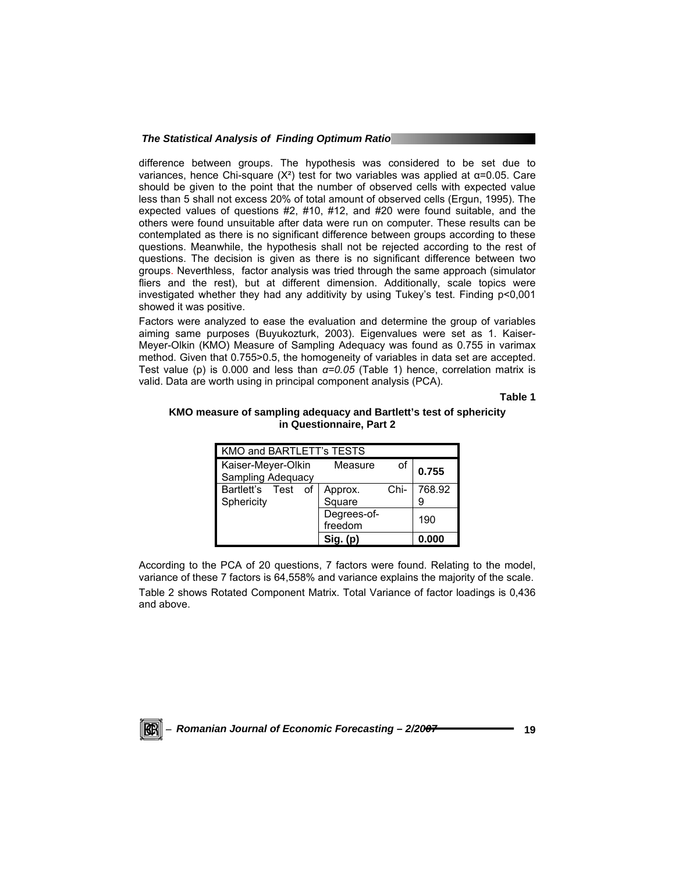difference between groups. The hypothesis was considered to be set due to variances, hence Chi-square ( $X^2$ ) test for two variables was applied at α=0.05. Care should be given to the point that the number of observed cells with expected value less than 5 shall not excess 20% of total amount of observed cells (Ergun, 1995). The expected values of questions #2, #10, #12, and #20 were found suitable, and the others were found unsuitable after data were run on computer. These results can be contemplated as there is no significant difference between groups according to these questions. Meanwhile, the hypothesis shall not be rejected according to the rest of questions. The decision is given as there is no significant difference between two groups. Neverthless, factor analysis was tried through the same approach (simulator fliers and the rest), but at different dimension. Additionally, scale topics were investigated whether they had any additivity by using Tukey's test. Finding p<0,001 showed it was positive.

Factors were analyzed to ease the evaluation and determine the group of variables aiming same purposes (Buyukozturk, 2003). Eigenvalues were set as 1. Kaiser-Meyer-Olkin (KMO) Measure of Sampling Adequacy was found as 0.755 in varimax method. Given that 0.755>0.5, the homogeneity of variables in data set are accepted. Test value (p) is 0.000 and less than *α=0.05* (Table 1) hence, correlation matrix is valid. Data are worth using in principal component analysis (PCA).

**Table 1** 

| KMO and BARTLETT's TESTS |                        |      |        |  |  |  |
|--------------------------|------------------------|------|--------|--|--|--|
| Kaiser-Meyer-Olkin       | Measure                |      | 0.755  |  |  |  |
| Sampling Adequacy        |                        |      |        |  |  |  |
| Bartlett's Test<br>οf    | Approx.                | Chi- | 768.92 |  |  |  |
| Sphericity               | Square                 |      | 9      |  |  |  |
|                          | Degrees-of-<br>freedom |      | 190    |  |  |  |
|                          |                        |      |        |  |  |  |
|                          |                        |      |        |  |  |  |

# **KMO measure of sampling adequacy and Bartlett's test of sphericity in Questionnaire, Part 2**

According to the PCA of 20 questions, 7 factors were found. Relating to the model, variance of these 7 factors is 64,558% and variance explains the majority of the scale. Table 2 shows Rotated Component Matrix. Total Variance of factor loadings is 0,436 and above.

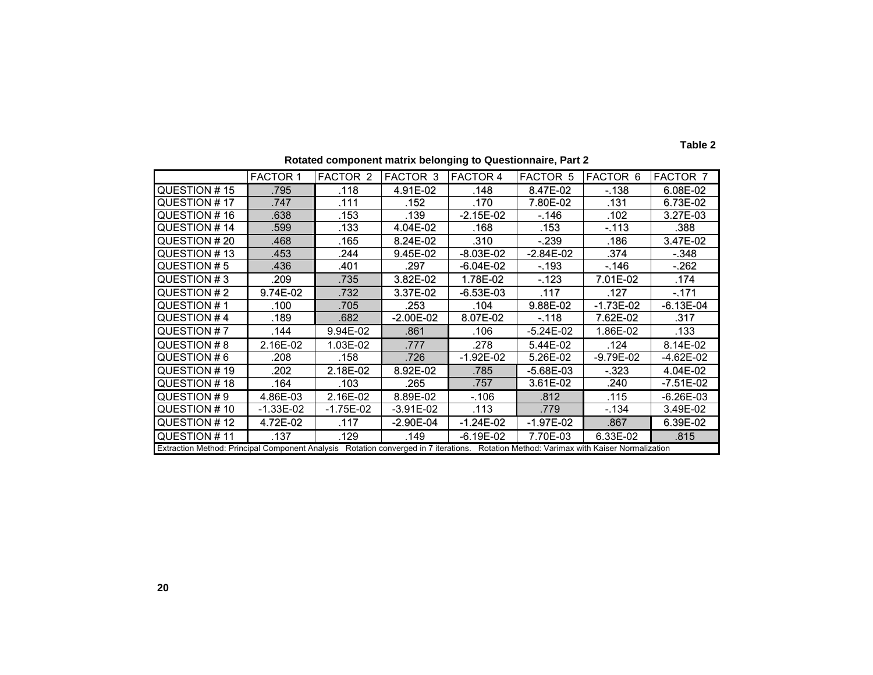|                                                                                                                                        | <b>FACTOR 1</b> | FACTOR 2  | <b>FACTOR 3</b> | <b>FACTOR 4</b> | <b>FACTOR 5</b> | FACTOR 6    | <b>FACTOR 7</b> |
|----------------------------------------------------------------------------------------------------------------------------------------|-----------------|-----------|-----------------|-----------------|-----------------|-------------|-----------------|
| QUESTION #15                                                                                                                           | .795            | .118      | 4.91E-02        | .148            | 8.47E-02        | $-138$      | 6.08E-02        |
| QUESTION #17                                                                                                                           | .747            | .111      | .152            | .170            | 7.80E-02        | .131        | 6.73E-02        |
| QUESTION #16                                                                                                                           | .638            | .153      | .139            | $-2.15E-02$     | $-146$          | .102        | 3.27E-03        |
| QUESTION #14                                                                                                                           | .599            | .133      | 4.04E-02        | .168            | .153            | $-113$      | .388            |
| QUESTION #20                                                                                                                           | .468            | .165      | 8.24E-02        | .310            | $-239$          | .186        | 3.47E-02        |
| QUESTION #13                                                                                                                           | .453            | .244      | 9.45E-02        | $-8.03E-02$     | -2.84E-02       | .374        | $-.348$         |
| QUESTION #5                                                                                                                            | .436            | .401      | .297            | -6.04E-02       | $-193$          | -.146       | $-.262$         |
| QUESTION #3                                                                                                                            | .209            | .735      | 3.82E-02        | 1.78E-02        | $-123$          | 7.01E-02    | .174            |
| QUESTION #2                                                                                                                            | 9.74E-02        | .732      | 3.37E-02        | $-6.53E-03$     | .117            | .127        | $-171$          |
| QUESTION #1                                                                                                                            | .100            | .705      | .253            | .104            | 9.88E-02        | $-1.73E-02$ | $-6.13E-04$     |
| QUESTION #4                                                                                                                            | .189            | .682      | $-2.00E-02$     | 8.07E-02        | $-118$          | 7.62E-02    | .317            |
| QUESTION #7                                                                                                                            | .144            | 9.94E-02  | .861            | .106            | $-5.24E-02$     | 1.86E-02    | .133            |
| QUESTION #8                                                                                                                            | 2.16E-02        | 1.03E-02  | .777            | .278            | 5.44E-02        | .124        | 8.14E-02        |
| QUESTION #6                                                                                                                            | .208            | .158      | .726            | $-1.92E - 02$   | 5.26E-02        | -9.79E-02   | -4.62E-02       |
| QUESTION #19                                                                                                                           | .202            | 2.18E-02  | 8.92E-02        | .785            | $-5.68E - 03$   | $-323$      | 4.04E-02        |
| QUESTION #18                                                                                                                           | .164            | .103      | .265            | .757            | 3.61E-02        | .240        | $-7.51E-02$     |
| QUESTION #9                                                                                                                            | 4.86E-03        | 2.16E-02  | 8.89E-02        | $-.106$         | .812            | .115        | $-6.26E-03$     |
| QUESTION #10                                                                                                                           | $-1.33E-02$     | -1.75E-02 | $-3.91E-02$     | .113            | .779            | $-134$      | 3.49E-02        |
| QUESTION #12                                                                                                                           | 4.72E-02        | .117      | $-2.90E-04$     | $-1.24E-02$     | $-1.97E-02$     | .867        | 6.39E-02        |
| QUESTION #11                                                                                                                           | .137            | .129      | .149            | -6.19E-02       | 7.70E-03        | 6.33E-02    | .815            |
| Extraction Method: Principal Component Analysis Rotation converged in 7 iterations. Rotation Method: Varimax with Kaiser Normalization |                 |           |                 |                 |                 |             |                 |

**Rotated component matrix belonging to Questionnaire, Part 2** 

**Table 2**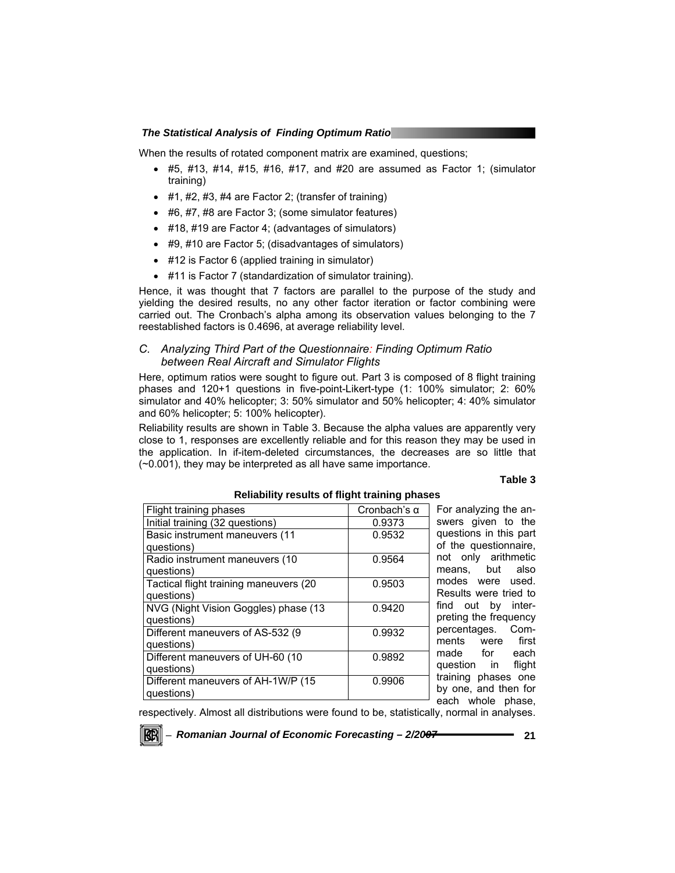When the results of rotated component matrix are examined, questions;

- #5, #13, #14, #15, #16, #17, and #20 are assumed as Factor 1; (simulator training)
- $\bullet$  #1, #2, #3, #4 are Factor 2; (transfer of training)
- #6, #7, #8 are Factor 3; (some simulator features)
- #18, #19 are Factor 4; (advantages of simulators)
- #9, #10 are Factor 5; (disadvantages of simulators)
- #12 is Factor 6 (applied training in simulator)
- #11 is Factor 7 (standardization of simulator training).

Hence, it was thought that 7 factors are parallel to the purpose of the study and yielding the desired results, no any other factor iteration or factor combining were carried out. The Cronbach's alpha among its observation values belonging to the 7 reestablished factors is 0.4696, at average reliability level.

# *C. Analyzing Third Part of the Questionnaire: Finding Optimum Ratio between Real Aircraft and Simulator Flights*

Here, optimum ratios were sought to figure out. Part 3 is composed of 8 flight training phases and 120+1 questions in five-point-Likert-type (1: 100% simulator; 2: 60% simulator and 40% helicopter; 3: 50% simulator and 50% helicopter; 4: 40% simulator and 60% helicopter; 5: 100% helicopter).

Reliability results are shown in Table 3. Because the alpha values are apparently very close to 1, responses are excellently reliable and for this reason they may be used in the application. In if-item-deleted circumstances, the decreases are so little that (~0.001), they may be interpreted as all have same importance.

#### **Table 3**

| Flight training phases                  | Cronbach's $\alpha$ | For analyzing the an-  |
|-----------------------------------------|---------------------|------------------------|
| Initial training (32 questions)         | 0.9373              | swers given to the     |
| Basic instrument maneuvers (11          | 0.9532              | questions in this part |
| questions)                              |                     | of the questionnaire,  |
| Radio instrument maneuvers (10          | 0.9564              | not only arithmetic    |
| questions)                              |                     | means, but also        |
| Tactical flight training maneuvers (20) | 0.9503              | modes were used.       |
| questions)                              |                     | Results were tried to  |
| NVG (Night Vision Goggles) phase (13    | 0.9420              | find out by inter-     |
| questions)                              |                     | preting the frequency  |
| Different maneuvers of AS-532 (9        | 0.9932              | percentages. Com-      |
| questions)                              |                     | ments were first       |
| Different maneuvers of UH-60 (10        | 0.9892              | each<br>made for       |
| questions)                              |                     | flight<br>question in  |
| Different maneuvers of AH-1W/P (15      | 0.9906              | training phases one    |
| questions)                              |                     | by one, and then for   |
|                                         |                     | each whole phase,      |

# **Reliability results of flight training phases**

respectively. Almost all distributions were found to be, statistically, normal in analyses.

<sup>−</sup> *Romanian Journal of Economic Forecasting – 2/2007* **21**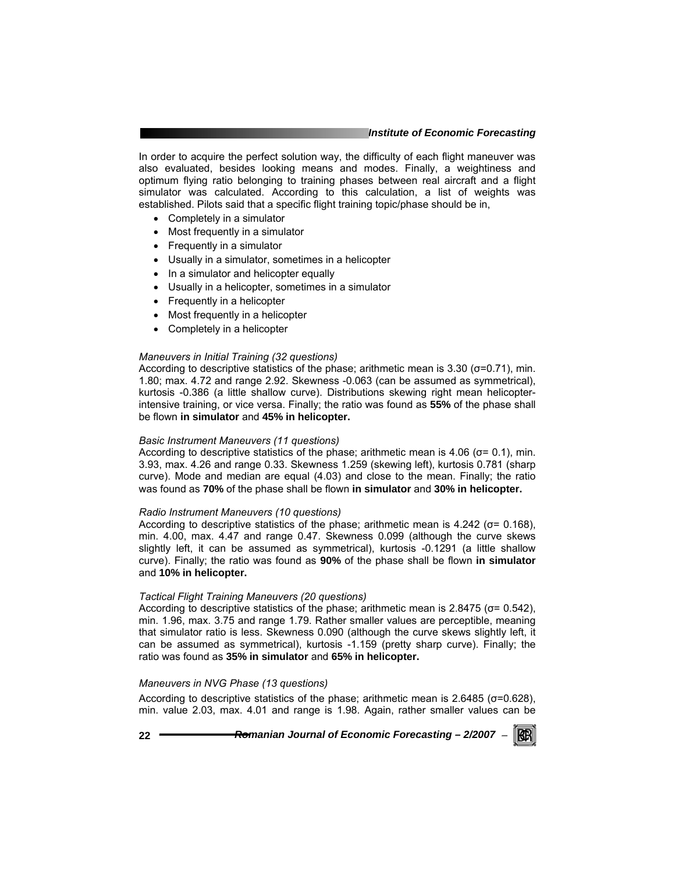#### *Institute of Economic Forecasting*

In order to acquire the perfect solution way, the difficulty of each flight maneuver was also evaluated, besides looking means and modes. Finally, a weightiness and optimum flying ratio belonging to training phases between real aircraft and a flight simulator was calculated. According to this calculation, a list of weights was established. Pilots said that a specific flight training topic/phase should be in,

- Completely in a simulator
- Most frequently in a simulator
- Frequently in a simulator
- Usually in a simulator, sometimes in a helicopter
- In a simulator and helicopter equally
- Usually in a helicopter, sometimes in a simulator
- Frequently in a helicopter
- Most frequently in a helicopter
- Completely in a helicopter

#### *Maneuvers in Initial Training (32 questions)*

According to descriptive statistics of the phase; arithmetic mean is  $3.30$  ( $\sigma$ =0.71), min. 1.80; max. 4.72 and range 2.92. Skewness -0.063 (can be assumed as symmetrical), kurtosis -0.386 (a little shallow curve). Distributions skewing right mean helicopterintensive training, or vice versa. Finally; the ratio was found as **55%** of the phase shall be flown **in simulator** and **45% in helicopter.**

#### *Basic Instrument Maneuvers (11 questions)*

According to descriptive statistics of the phase; arithmetic mean is 4.06 ( $\sigma$ = 0.1), min. 3.93, max. 4.26 and range 0.33. Skewness 1.259 (skewing left), kurtosis 0.781 (sharp curve). Mode and median are equal (4.03) and close to the mean. Finally; the ratio was found as **70%** of the phase shall be flown **in simulator** and **30% in helicopter.**

#### *Radio Instrument Maneuvers (10 questions)*

According to descriptive statistics of the phase; arithmetic mean is 4.242 (σ= 0.168), min. 4.00, max. 4.47 and range 0.47. Skewness 0.099 (although the curve skews slightly left, it can be assumed as symmetrical), kurtosis -0.1291 (a little shallow curve). Finally; the ratio was found as **90%** of the phase shall be flown **in simulator**  and **10% in helicopter.**

## *Tactical Flight Training Maneuvers (20 questions)*

According to descriptive statistics of the phase; arithmetic mean is  $2.8475$  ( $\sigma$ = 0.542), min. 1.96, max. 3.75 and range 1.79. Rather smaller values are perceptible, meaning that simulator ratio is less. Skewness 0.090 (although the curve skews slightly left, it can be assumed as symmetrical), kurtosis -1.159 (pretty sharp curve). Finally; the ratio was found as **35% in simulator** and **65% in helicopter.**

#### *Maneuvers in NVG Phase (13 questions)*

According to descriptive statistics of the phase; arithmetic mean is 2.6485 (σ=0.628), min. value 2.03, max. 4.01 and range is 1.98. Again, rather smaller values can be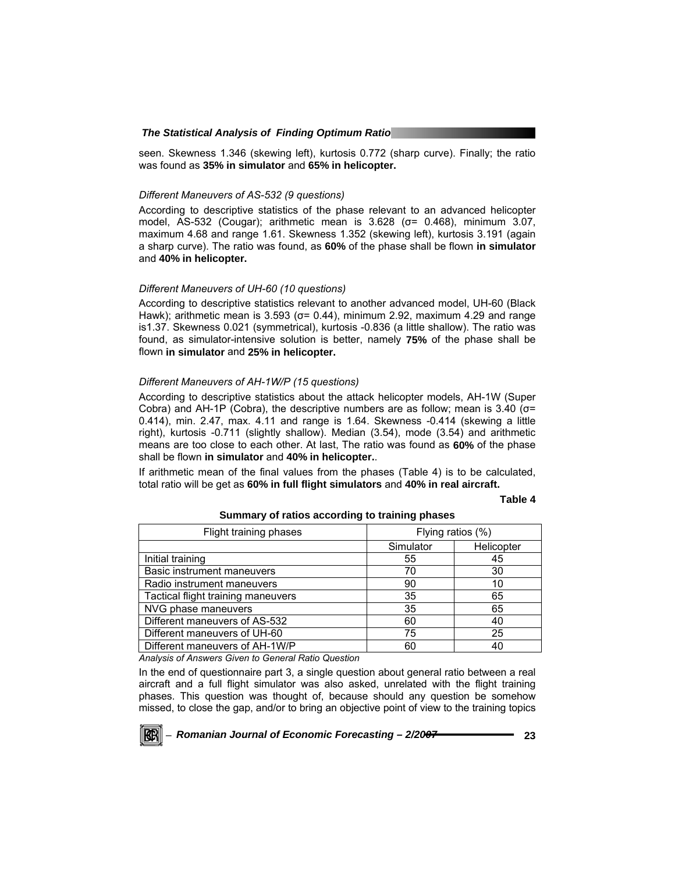seen. Skewness 1.346 (skewing left), kurtosis 0.772 (sharp curve). Finally; the ratio was found as **35% in simulator** and **65% in helicopter.**

#### *Different Maneuvers of AS-532 (9 questions)*

According to descriptive statistics of the phase relevant to an advanced helicopter model, AS-532 (Cougar); arithmetic mean is 3.628 (σ= 0.468), minimum 3.07, maximum 4.68 and range 1.61. Skewness 1.352 (skewing left), kurtosis 3.191 (again a sharp curve). The ratio was found, as **60%** of the phase shall be flown **in simulator**  and **40% in helicopter.**

#### *Different Maneuvers of UH-60 (10 questions)*

According to descriptive statistics relevant to another advanced model, UH-60 (Black Hawk); arithmetic mean is 3.593 ( $\sigma$ = 0.44), minimum 2.92, maximum 4.29 and range is1.37. Skewness 0.021 (symmetrical), kurtosis -0.836 (a little shallow). The ratio was found, as simulator-intensive solution is better, namely **75%** of the phase shall be flown **in simulator** and **25% in helicopter.** 

# *Different Maneuvers of AH-1W/P (15 questions)*

According to descriptive statistics about the attack helicopter models, AH-1W (Super Cobra) and AH-1P (Cobra), the descriptive numbers are as follow; mean is  $3.40$  ( $\sigma$ = 0.414), min. 2.47, max. 4.11 and range is 1.64. Skewness -0.414 (skewing a little right), kurtosis -0.711 (slightly shallow). Median (3.54), mode (3.54) and arithmetic means are too close to each other. At last, The ratio was found as **60%** of the phase shall be flown **in simulator** and **40% in helicopter.**.

If arithmetic mean of the final values from the phases (Table 4) is to be calculated, total ratio will be get as **60% in full flight simulators** and **40% in real aircraft.**

#### **Table 4**

| Flying ratios (%) |            |
|-------------------|------------|
| Simulator         | Helicopter |
| 55                | 45         |
| 70                | 30         |
| 90                | 10         |
| 35                | 65         |
| 35                | 65         |
| 60                | 40         |
| 75                | 25         |
| 60                | 40         |
|                   |            |

# **Summary of ratios according to training phases**

*Analysis of Answers Given to General Ratio Question* 

In the end of questionnaire part 3, a single question about general ratio between a real aircraft and a full flight simulator was also asked, unrelated with the flight training phases. This question was thought of, because should any question be somehow missed, to close the gap, and/or to bring an objective point of view to the training topics

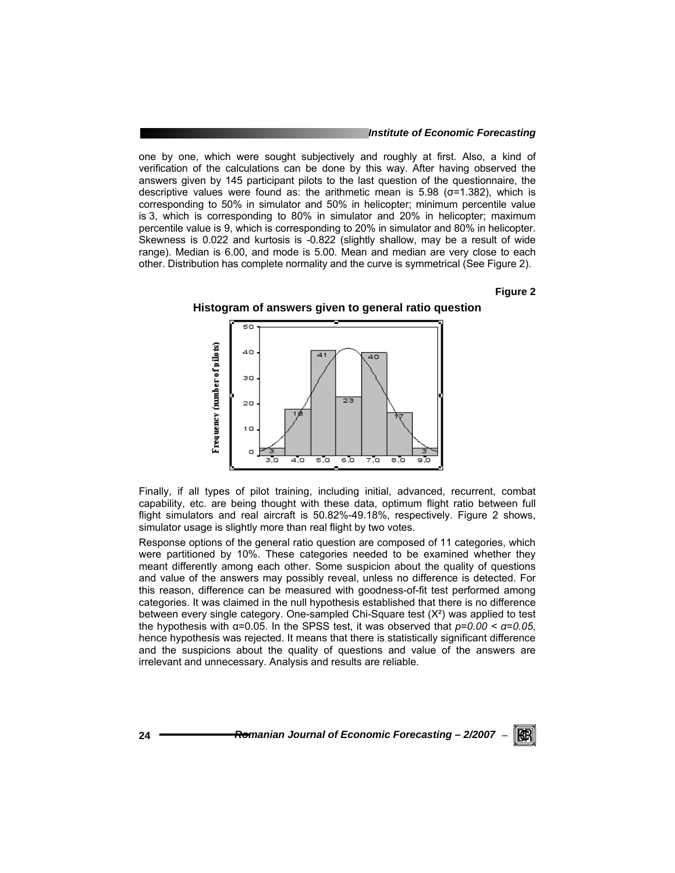#### *Institute of Economic Forecasting*

one by one, which were sought subjectively and roughly at first. Also, a kind of verification of the calculations can be done by this way. After having observed the answers given by 145 participant pilots to the last question of the questionnaire, the descriptive values were found as: the arithmetic mean is  $5.98$  ( $\sigma$ =1.382), which is corresponding to 50% in simulator and 50% in helicopter; minimum percentile value is 3, which is corresponding to 80% in simulator and 20% in helicopter; maximum percentile value is 9, which is corresponding to 20% in simulator and 80% in helicopter. Skewness is 0.022 and kurtosis is -0.822 (slightly shallow, may be a result of wide range). Median is 6.00, and mode is 5.00. Mean and median are very close to each other. Distribution has complete normality and the curve is symmetrical (See Figure 2).

# **Figure 2**

RGRI





Finally, if all types of pilot training, including initial, advanced, recurrent, combat capability, etc. are being thought with these data, optimum flight ratio between full flight simulators and real aircraft is 50.82%-49.18%, respectively. Figure 2 shows, simulator usage is slightly more than real flight by two votes.

Response options of the general ratio question are composed of 11 categories, which were partitioned by 10%. These categories needed to be examined whether they meant differently among each other. Some suspicion about the quality of questions and value of the answers may possibly reveal, unless no difference is detected. For this reason, difference can be measured with goodness-of-fit test performed among categories. It was claimed in the null hypothesis established that there is no difference between every single category. One-sampled Chi-Square test  $(X<sup>2</sup>)$  was applied to test the hypothesis with α=0.05. In the SPSS test, it was observed that *p*=*0.00 < α*=*0.05*, hence hypothesis was rejected. It means that there is statistically significant difference and the suspicions about the quality of questions and value of the answers are irrelevant and unnecessary. Analysis and results are reliable.